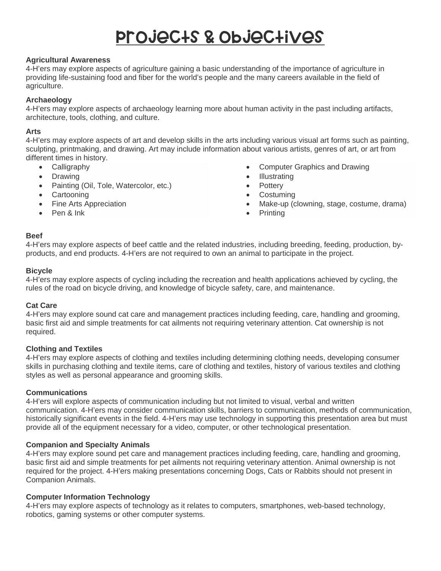# Projects & Objectives

### **Agricultural Awareness**

4-H'ers may explore aspects of agriculture gaining a basic understanding of the importance of agriculture in providing life-sustaining food and fiber for the world's people and the many careers available in the field of agriculture.

## **Archaeology**

4-H'ers may explore aspects of archaeology learning more about human activity in the past including artifacts, architecture, tools, clothing, and culture.

#### **Arts**

4-H'ers may explore aspects of art and develop skills in the arts including various visual art forms such as painting, sculpting, printmaking, and drawing. Art may include information about various artists, genres of art, or art from different times in history.

- Calligraphy
- Drawing
- Painting (Oil, Tole, Watercolor, etc.)
- Cartooning
- Fine Arts Appreciation
- Pen & Ink
- Computer Graphics and Drawing
- Illustrating
- **Pottery**
- Costuming
- Make-up (clowning, stage, costume, drama)
- Printing

#### **Beef**

4-H'ers may explore aspects of beef cattle and the related industries, including breeding, feeding, production, byproducts, and end products. 4-H'ers are not required to own an animal to participate in the project.

#### **Bicycle**

4-H'ers may explore aspects of cycling including the recreation and health applications achieved by cycling, the rules of the road on bicycle driving, and knowledge of bicycle safety, care, and maintenance.

#### **Cat Care**

4-H'ers may explore sound cat care and management practices including feeding, care, handling and grooming, basic first aid and simple treatments for cat ailments not requiring veterinary attention. Cat ownership is not required.

#### **Clothing and Textiles**

4-H'ers may explore aspects of clothing and textiles including determining clothing needs, developing consumer skills in purchasing clothing and textile items, care of clothing and textiles, history of various textiles and clothing styles as well as personal appearance and grooming skills.

#### **Communications**

4-H'ers will explore aspects of communication including but not limited to visual, verbal and written communication. 4-H'ers may consider communication skills, barriers to communication, methods of communication, historically significant events in the field. 4-H'ers may use technology in supporting this presentation area but must provide all of the equipment necessary for a video, computer, or other technological presentation.

#### **Companion and Specialty Animals**

4-H'ers may explore sound pet care and management practices including feeding, care, handling and grooming, basic first aid and simple treatments for pet ailments not requiring veterinary attention. Animal ownership is not required for the project. 4-H'ers making presentations concerning Dogs, Cats or Rabbits should not present in Companion Animals.

#### **Computer Information Technology**

4-H'ers may explore aspects of technology as it relates to computers, smartphones, web-based technology, robotics, gaming systems or other computer systems.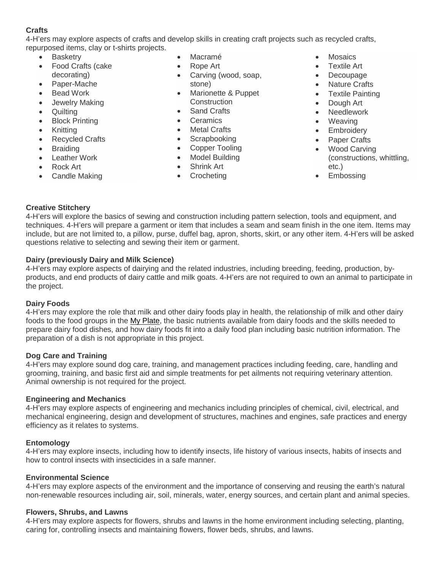# **Crafts**

4-H'ers may explore aspects of crafts and develop skills in creating craft projects such as recycled crafts, repurposed items, clay or t-shirts projects.

- **Basketry**
- Food Crafts (cake
- decorating)
- Paper-Mache
- **Bead Work**
- Jewelry Making
- **Quilting**
- Block Printing
- Knitting
- Recycled Crafts
- **Braiding**
- Leather Work
- Rock Art
- Candle Making
- Macramé
- Rope Art
- Carving (wood, soap, stone)
- Marionette & Puppet **Construction**
- Sand Crafts
- **Ceramics**
- **Metal Crafts**
- Scrapbooking
- Copper Tooling
- Model Building
- Shrink Art
- Crocheting
- **Mosaics**
- **Textile Art**
- Decoupage
- Nature Crafts
- Textile Painting
- Dough Art
- **Needlework**
- Weaving
- Embroidery
- Paper Crafts
- Wood Carving (constructions, whittling, etc.)
- Embossing

# **Creative Stitchery**

4-H'ers will explore the basics of sewing and construction including pattern selection, tools and equipment, and techniques. 4-H'ers will prepare a garment or item that includes a seam and seam finish in the one item. Items may include, but are not limited to, a pillow, purse, duffel bag, apron, shorts, skirt, or any other item. 4-H'ers will be asked questions relative to selecting and sewing their item or garment.

# **Dairy (previously Dairy and Milk Science)**

4-H'ers may explore aspects of dairying and the related industries, including breeding, feeding, production, byproducts, and end products of dairy cattle and milk goats. 4-H'ers are not required to own an animal to participate in the project.

# **Dairy Foods**

4-H'ers may explore the role that milk and other dairy foods play in health, the relationship of milk and other dairy foods to the food groups in the My [Plate,](http://www.choosemyplate.gov/) the basic nutrients available from dairy foods and the skills needed to prepare dairy food dishes, and how dairy foods fit into a daily food plan including basic nutrition information. The preparation of a dish is not appropriate in this project.

#### **Dog Care and Training**

4-H'ers may explore sound dog care, training, and management practices including feeding, care, handling and grooming, training, and basic first aid and simple treatments for pet ailments not requiring veterinary attention. Animal ownership is not required for the project.

#### **Engineering and Mechanics**

4-H'ers may explore aspects of engineering and mechanics including principles of chemical, civil, electrical, and mechanical engineering, design and development of structures, machines and engines, safe practices and energy efficiency as it relates to systems.

# **Entomology**

4-H'ers may explore insects, including how to identify insects, life history of various insects, habits of insects and how to control insects with insecticides in a safe manner.

#### **Environmental Science**

4-H'ers may explore aspects of the environment and the importance of conserving and reusing the earth's natural non-renewable resources including air, soil, minerals, water, energy sources, and certain plant and animal species.

# **Flowers, Shrubs, and Lawns**

4-H'ers may explore aspects for flowers, shrubs and lawns in the home environment including selecting, planting, caring for, controlling insects and maintaining flowers, flower beds, shrubs, and lawns.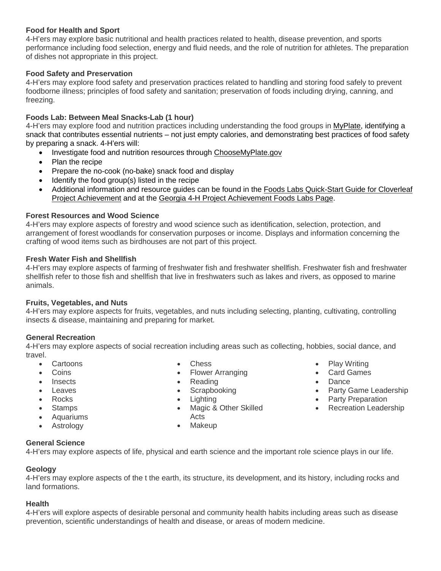# **Food for Health and Sport**

4-H'ers may explore basic nutritional and health practices related to health, disease prevention, and sports performance including food selection, energy and fluid needs, and the role of nutrition for athletes. The preparation of dishes not appropriate in this project.

# **Food Safety and Preservation**

4-H'ers may explore food safety and preservation practices related to handling and storing food safely to prevent foodborne illness; principles of food safety and sanitation; preservation of foods including drying, canning, and freezing.

# **Foods Lab: Between Meal Snacks-Lab (1 hour)**

4-H'ers may explore food and nutrition practices including understanding the food groups in [MyPlate,](http://choosemyplate.gov/) identifying a snack that contributes essential nutrients – not just empty calories, and demonstrating best practices of food safety by preparing a snack. 4-H'ers will:

- Investigate food and nutrition resources through [ChooseMyPlate.gov](http://choosemyplate.gov/)
- Plan the recipe
- Prepare the no-cook (no-bake) snack food and display
- Identify the food group(s) listed in the recipe
- Additional information and resource guides can be found in the Foods Labs [Quick-Start](https://georgia4h.org/wp-content/uploads/FoodsLabsQuick-StartGuide_Cloverleaf_4th-6th.pdf) Guide for Cloverleaf Project [Achievement](https://georgia4h.org/wp-content/uploads/FoodsLabsQuick-StartGuide_Cloverleaf_4th-6th.pdf) and at the Georgia 4-H Project [Achievement](https://georgia4h.org/programs/focus-areas/healthy-living/foods-and-nutrition/) Foods Labs Page.

# **Forest Resources and Wood Science**

4-H'ers may explore aspects of forestry and wood science such as identification, selection, protection, and arrangement of forest woodlands for conservation purposes or income. Displays and information concerning the crafting of wood items such as birdhouses are not part of this project.

### **Fresh Water Fish and Shellfish**

4-H'ers may explore aspects of farming of freshwater fish and freshwater shellfish. Freshwater fish and freshwater shellfish refer to those fish and shellfish that live in freshwaters such as lakes and rivers, as opposed to marine animals.

# **Fruits, Vegetables, and Nuts**

4-H'ers may explore aspects for fruits, vegetables, and nuts including selecting, planting, cultivating, controlling insects & disease, maintaining and preparing for market.

# **General Recreation**

4-H'ers may explore aspects of social recreation including areas such as collecting, hobbies, social dance, and travel.

- Cartoons
- **Coins**
- Insects
- **Leaves**
- Rocks
- Stamps
- Aquariums
- **Astrology**
- Chess
- Flower Arranging
- Reading
- 
- 
- Magic & Other Skilled Acts
	-
- Play Writing
- Card Games
- Dance
- Party Game Leadership
- 
- Recreation Leadership

# **General Science**

4-H'ers may explore aspects of life, physical and earth science and the important role science plays in our life.

# **Geology**

4-H'ers may explore aspects of the t the earth, its structure, its development, and its history, including rocks and land formations.

#### **Health**

4-H'ers will explore aspects of desirable personal and community health habits including areas such as disease prevention, scientific understandings of health and disease, or areas of modern medicine.

- **Scrapbooking**
- Lighting
- 
- Makeup

- - Party Preparation
	-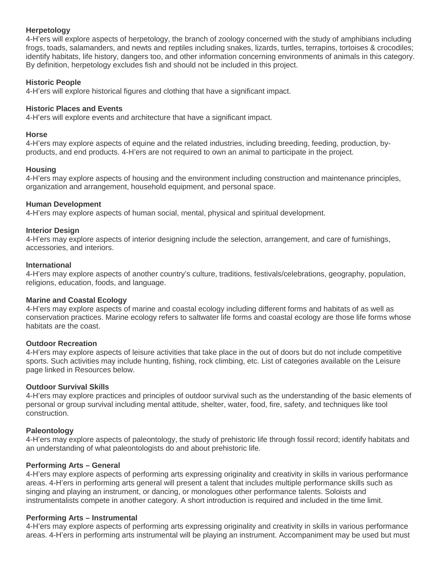#### **Herpetology**

4-H'ers will explore aspects of herpetology, the branch of zoology concerned with the study of amphibians including frogs, toads, salamanders, and newts and reptiles including snakes, lizards, turtles, terrapins, tortoises & crocodiles; identify habitats, life history, dangers too, and other information concerning environments of animals in this category. By definition, herpetology excludes fish and should not be included in this project.

#### **Historic People**

4-H'ers will explore historical figures and clothing that have a significant impact.

### **Historic Places and Events**

4-H'ers will explore events and architecture that have a significant impact.

#### **Horse**

4-H'ers may explore aspects of equine and the related industries, including breeding, feeding, production, byproducts, and end products. 4-H'ers are not required to own an animal to participate in the project.

### **Housing**

4-H'ers may explore aspects of housing and the environment including construction and maintenance principles, organization and arrangement, household equipment, and personal space.

### **Human Development**

4-H'ers may explore aspects of human social, mental, physical and spiritual development.

### **Interior Design**

4-H'ers may explore aspects of interior designing include the selection, arrangement, and care of furnishings, accessories, and interiors.

#### **International**

4-H'ers may explore aspects of another country's culture, traditions, festivals/celebrations, geography, population, religions, education, foods, and language.

#### **Marine and Coastal Ecology**

4-H'ers may explore aspects of marine and coastal ecology including different forms and habitats of as well as conservation practices. Marine ecology refers to saltwater life forms and coastal ecology are those life forms whose habitats are the coast.

#### **Outdoor Recreation**

4-H'ers may explore aspects of leisure activities that take place in the out of doors but do not include competitive sports. Such activities may include hunting, fishing, rock climbing, etc. List of categories available on the Leisure page linked in Resources below.

# **Outdoor Survival Skills**

4-H'ers may explore practices and principles of outdoor survival such as the understanding of the basic elements of personal or group survival including mental attitude, shelter, water, food, fire, safety, and techniques like tool construction.

# **Paleontology**

4-H'ers may explore aspects of paleontology, the study of prehistoric life through fossil record; identify habitats and an understanding of what paleontologists do and about prehistoric life.

#### **Performing Arts – General**

4-H'ers may explore aspects of performing arts expressing originality and creativity in skills in various performance areas. 4-H'ers in performing arts general will present a talent that includes multiple performance skills such as singing and playing an instrument, or dancing, or monologues other performance talents. Soloists and instrumentalists compete in another category. A short introduction is required and included in the time limit.

# **Performing Arts – Instrumental**

4-H'ers may explore aspects of performing arts expressing originality and creativity in skills in various performance areas. 4-H'ers in performing arts instrumental will be playing an instrument. Accompaniment may be used but must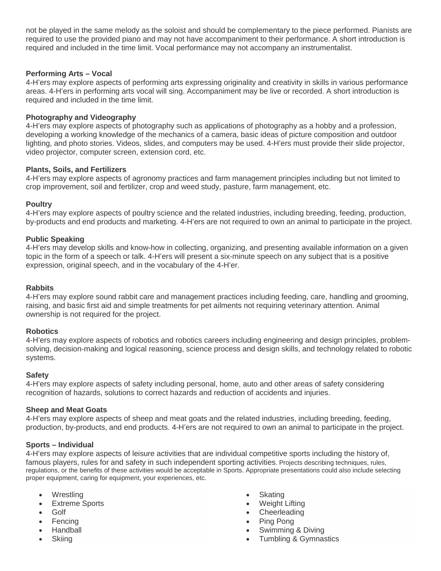not be played in the same melody as the soloist and should be complementary to the piece performed. Pianists are required to use the provided piano and may not have accompaniment to their performance. A short introduction is required and included in the time limit. Vocal performance may not accompany an instrumentalist.

#### **Performing Arts – Vocal**

4-H'ers may explore aspects of performing arts expressing originality and creativity in skills in various performance areas. 4-H'ers in performing arts vocal will sing. Accompaniment may be live or recorded. A short introduction is required and included in the time limit.

#### **Photography and Videography**

4-H'ers may explore aspects of photography such as applications of photography as a hobby and a profession, developing a working knowledge of the mechanics of a camera, basic ideas of picture composition and outdoor lighting, and photo stories. Videos, slides, and computers may be used. 4-H'ers must provide their slide projector, video projector, computer screen, extension cord, etc.

#### **Plants, Soils, and Fertilizers**

4-H'ers may explore aspects of agronomy practices and farm management principles including but not limited to crop improvement, soil and fertilizer, crop and weed study, pasture, farm management, etc.

### **Poultry**

4-H'ers may explore aspects of poultry science and the related industries, including breeding, feeding, production, by-products and end products and marketing. 4-H'ers are not required to own an animal to participate in the project.

#### **Public Speaking**

4-H'ers may develop skills and know-how in collecting, organizing, and presenting available information on a given topic in the form of a speech or talk. 4-H'ers will present a six-minute speech on any subject that is a positive expression, original speech, and in the vocabulary of the 4-H'er.

#### **Rabbits**

4-H'ers may explore sound rabbit care and management practices including feeding, care, handling and grooming, raising, and basic first aid and simple treatments for pet ailments not requiring veterinary attention. Animal ownership is not required for the project.

#### **Robotics**

4-H'ers may explore aspects of robotics and robotics careers including engineering and design principles, problemsolving, decision-making and logical reasoning, science process and design skills, and technology related to robotic systems.

# **Safety**

4-H'ers may explore aspects of safety including personal, home, auto and other areas of safety considering recognition of hazards, solutions to correct hazards and reduction of accidents and injuries.

#### **Sheep and Meat Goats**

4-H'ers may explore aspects of sheep and meat goats and the related industries, including breeding, feeding, production, by-products, and end products. 4-H'ers are not required to own an animal to participate in the project.

# **Sports – Individual**

4-H'ers may explore aspects of leisure activities that are individual competitive sports including the history of, famous players, rules for and safety in such independent sporting activities. Projects describing techniques, rules, regulations, or the benefits of these activities would be acceptable in Sports. Appropriate presentations could also include selecting proper equipment, caring for equipment, your experiences, etc.

- **Wrestling**
- **Extreme Sports**
- Golf
- **Fencing**
- Handball
- Skiing
- **Skating**
- Weight Lifting
- Cheerleading
- Ping Pong
- Swimming & Diving
- Tumbling & Gymnastics